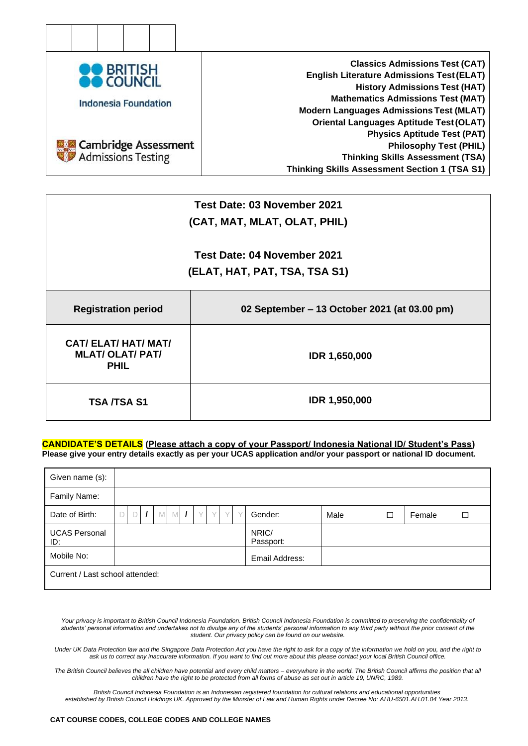

|                             | Test Date: 03 November 2021                  |  |  |  |  |
|-----------------------------|----------------------------------------------|--|--|--|--|
|                             | (CAT, MAT, MLAT, OLAT, PHIL)                 |  |  |  |  |
|                             |                                              |  |  |  |  |
|                             | Test Date: 04 November 2021                  |  |  |  |  |
|                             | (ELAT, HAT, PAT, TSA, TSA S1)                |  |  |  |  |
|                             |                                              |  |  |  |  |
|                             |                                              |  |  |  |  |
| <b>Registration period</b>  | 02 September – 13 October 2021 (at 03.00 pm) |  |  |  |  |
|                             |                                              |  |  |  |  |
| <b>CAT/ ELAT/ HAT/ MAT/</b> |                                              |  |  |  |  |
| <b>MLAT/ OLAT/ PAT/</b>     | IDR 1,650,000                                |  |  |  |  |
| <b>PHIL</b>                 |                                              |  |  |  |  |
|                             |                                              |  |  |  |  |
|                             |                                              |  |  |  |  |
| <b>TSA /TSA S1</b>          | <b>IDR 1,950,000</b>                         |  |  |  |  |
|                             |                                              |  |  |  |  |

### **CANDIDATE'S DETAILS (Please attach a copy of your Passport/ Indonesia National ID/ Student's Pass) Please give your entry details exactly as per your UCAS application and/or your passport or national ID document.**

| Given name (s):                 |  |   |          |   |     |        |   |   |                    |      |   |        |   |
|---------------------------------|--|---|----------|---|-----|--------|---|---|--------------------|------|---|--------|---|
| Family Name:                    |  |   |          |   |     |        |   |   |                    |      |   |        |   |
| Date of Birth:                  |  | D | $\prime$ | M | M/I | $\vee$ | Y | V | Gender:            | Male | □ | Female | □ |
| <b>UCAS Personal</b><br>ID:     |  |   |          |   |     |        |   |   | NRIC/<br>Passport: |      |   |        |   |
| Mobile No:                      |  |   |          |   |     |        |   |   | Email Address:     |      |   |        |   |
| Current / Last school attended: |  |   |          |   |     |        |   |   |                    |      |   |        |   |

Your privacy is important to British Council Indonesia Foundation. British Council Indonesia Foundation is committed to preserving the confidentiality of *students' personal information and undertakes not to divulge any of the students' personal information to any third party without the prior consent of the student. Our privacy policy can be found on our website.*

*Under UK Data Protection law and the Singapore Data Protection Act you have the right to ask for a copy of the information we hold on you, and the right to ask us to correct any inaccurate information. If you want to find out more about this please contact your local British Council office.*

*The British Council believes the all children have potential and every child matters – everywhere in the world. The British Council affirms the position that all children have the right to be protected from all forms of abuse as set out in article 19, UNRC, 1989.*

*British Council Indonesia Foundation is an Indonesian registered foundation for cultural relations and educational opportunities established by British Council Holdings UK. Approved by the Minister of Law and Human Rights under Decree No: AHU-6501.AH.01.04 Year 2013.*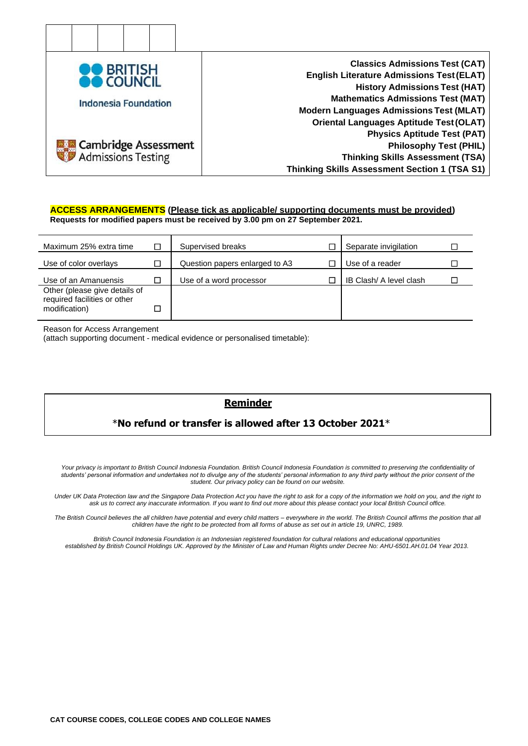

#### **ACCESS ARRANGEMENTS (Please tick as applicable/ supporting documents must be provided) Requests for modified papers must be received by 3.00 pm on 27 September 2021.**

| Maximum 25% extra time                                                         | □ | Supervised breaks              | Separate invigilation   |  |
|--------------------------------------------------------------------------------|---|--------------------------------|-------------------------|--|
| Use of color overlays                                                          |   | Question papers enlarged to A3 | Use of a reader         |  |
| Use of an Amanuensis                                                           | □ | Use of a word processor        | IB Clash/ A level clash |  |
| Other (please give details of<br>required facilities or other<br>modification) | □ |                                |                         |  |

Reason for Access Arrangement

(attach supporting document - medical evidence or personalised timetable):

# **Reminder**

# \***No refund or transfer is allowed after 13 October 2021**\*

Your privacy is important to British Council Indonesia Foundation. British Council Indonesia Foundation is committed to preserving the confidentiality of *students' personal information and undertakes not to divulge any of the students' personal information to any third party without the prior consent of the student. Our privacy policy can be found on our website.*

*Under UK Data Protection law and the Singapore Data Protection Act you have the right to ask for a copy of the information we hold on you, and the right to ask us to correct any inaccurate information. If you want to find out more about this please contact your local British Council office.*

*The British Council believes the all children have potential and every child matters – everywhere in the world. The British Council affirms the position that all children have the right to be protected from all forms of abuse as set out in article 19, UNRC, 1989.*

*British Council Indonesia Foundation is an Indonesian registered foundation for cultural relations and educational opportunities established by British Council Holdings UK. Approved by the Minister of Law and Human Rights under Decree No: AHU-6501.AH.01.04 Year 2013.*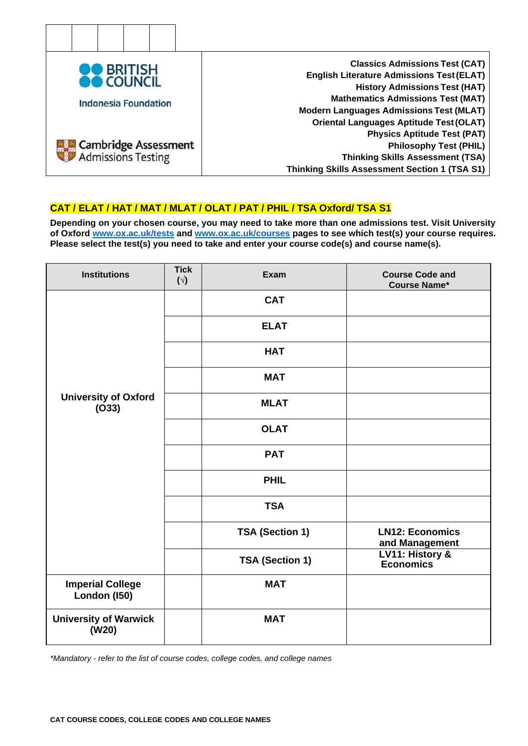

# **CAT / ELAT / HAT / MAT / MLAT / OLAT / PAT / PHIL / TSA Oxford/ TSA S1**

**Depending on your chosen course, you may need to take more than one admissions test. Visit University of Oxford [www.ox.ac.uk/tests](http://www.ox.ac.uk/tests) and [www.ox.ac.uk/courses](http://www.ox.ac.uk/courses) pages to see which test(s) your course requires. Please select the test(s) you need to take and enter your course code(s) and course name(s).**

| <b>Institutions</b>                     | <b>Tick</b><br>$(\vee)$ | Exam            | <b>Course Code and</b><br><b>Course Name*</b> |
|-----------------------------------------|-------------------------|-----------------|-----------------------------------------------|
|                                         |                         | <b>CAT</b>      |                                               |
|                                         |                         | <b>ELAT</b>     |                                               |
|                                         |                         | <b>HAT</b>      |                                               |
|                                         |                         | <b>MAT</b>      |                                               |
| <b>University of Oxford</b><br>(033)    |                         | <b>MLAT</b>     |                                               |
|                                         |                         | <b>OLAT</b>     |                                               |
|                                         |                         | <b>PAT</b>      |                                               |
|                                         |                         | <b>PHIL</b>     |                                               |
|                                         |                         | <b>TSA</b>      |                                               |
|                                         |                         | TSA (Section 1) | <b>LN12: Economics</b><br>and Management      |
|                                         |                         | TSA (Section 1) | <b>LV11: History &amp;</b><br>Economics       |
| <b>Imperial College</b><br>London (150) |                         | <b>MAT</b>      |                                               |
| <b>University of Warwick</b><br>(W20)   |                         | <b>MAT</b>      |                                               |

*\*Mandatory - refer to the list of course codes, college codes, and college names*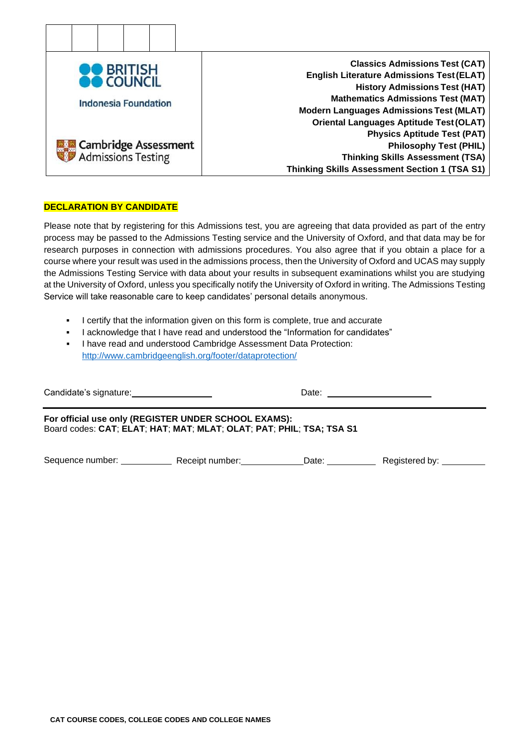

## **DECLARATION BY CANDIDATE**

Please note that by registering for this Admissions test, you are agreeing that data provided as part of the entry process may be passed to the Admissions Testing service and the University of Oxford, and that data may be for research purposes in connection with admissions procedures. You also agree that if you obtain a place for a course where your result was used in the admissions process, then the University of Oxford and UCAS may supply the Admissions Testing Service with data about your results in subsequent examinations whilst you are studying at the University of Oxford, unless you specifically notify the University of Oxford in writing. The Admissions Testing Service will take reasonable care to keep candidates' personal details anonymous.

- I certify that the information given on this form is complete, true and accurate
- I acknowledge that I have read and understood the "Information for candidates"
- I have read and understood Cambridge Assessment Data Protection: <http://www.cambridgeenglish.org/footer/dataprotection/>

| Candidate's signature:                                                                                                       |                 | Date: |                |  |
|------------------------------------------------------------------------------------------------------------------------------|-----------------|-------|----------------|--|
| For official use only (REGISTER UNDER SCHOOL EXAMS):<br>Board codes: CAT; ELAT; HAT; MAT; MLAT; OLAT; PAT; PHIL; TSA; TSA S1 |                 |       |                |  |
| Sequence number: ___________                                                                                                 | Receipt number: | Date: | Registered by: |  |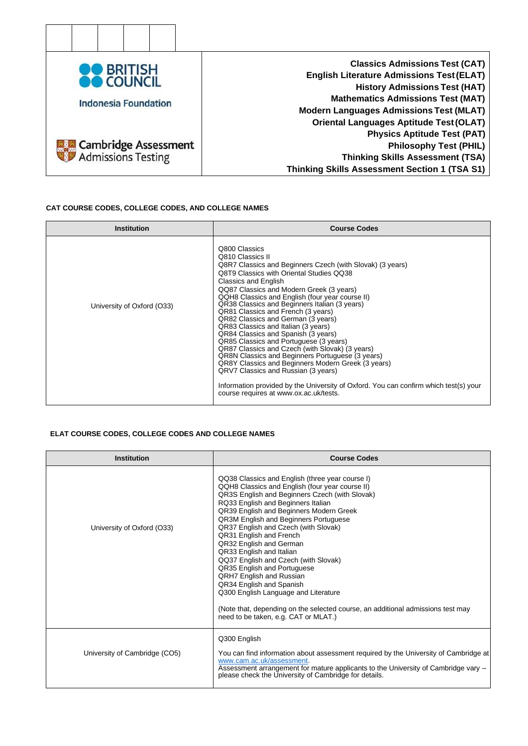

#### **CAT COURSE CODES, COLLEGE CODES, AND COLLEGE NAMES**

| <b>Institution</b>         | <b>Course Codes</b>                                                                                                                                                                                                                                                                                                                                                                                                                                                                                                                                                                                                                                                                                                                                                                                                                                                 |
|----------------------------|---------------------------------------------------------------------------------------------------------------------------------------------------------------------------------------------------------------------------------------------------------------------------------------------------------------------------------------------------------------------------------------------------------------------------------------------------------------------------------------------------------------------------------------------------------------------------------------------------------------------------------------------------------------------------------------------------------------------------------------------------------------------------------------------------------------------------------------------------------------------|
| University of Oxford (O33) | Q800 Classics<br>Q810 Classics II<br>Q8R7 Classics and Beginners Czech (with Slovak) (3 years)<br>Q8T9 Classics with Oriental Studies QQ38<br>Classics and English<br>QQ87 Classics and Modern Greek (3 years)<br>QQH8 Classics and English (four year course II)<br>QR38 Classics and Beginners Italian (3 years)<br>QR81 Classics and French (3 years)<br>QR82 Classics and German (3 years)<br>QR83 Classics and Italian (3 years)<br>QR84 Classics and Spanish (3 years)<br>QR85 Classics and Portuguese (3 years)<br>QR87 Classics and Czech (with Slovak) (3 years)<br>QR8N Classics and Beginners Portuguese (3 years)<br><b>QR8Y Classics and Beginners Modern Greek (3 years)</b><br>QRV7 Classics and Russian (3 years)<br>Information provided by the University of Oxford. You can confirm which test(s) your<br>course requires at www.ox.ac.uk/tests. |

### **ELAT COURSE CODES, COLLEGE CODES AND COLLEGE NAMES**

| <b>Institution</b>            | <b>Course Codes</b>                                                                                                                                                                                                                                                                                                                                                                                                                                                                                                                                                                                                                                                                                               |
|-------------------------------|-------------------------------------------------------------------------------------------------------------------------------------------------------------------------------------------------------------------------------------------------------------------------------------------------------------------------------------------------------------------------------------------------------------------------------------------------------------------------------------------------------------------------------------------------------------------------------------------------------------------------------------------------------------------------------------------------------------------|
| University of Oxford (O33)    | QQ38 Classics and English (three year course I)<br>QQH8 Classics and English (four year course II)<br>QR3S English and Beginners Czech (with Slovak)<br>RQ33 English and Beginners Italian<br>QR39 English and Beginners Modern Greek<br>QR3M English and Beginners Portuguese<br>QR37 English and Czech (with Slovak)<br>QR31 English and French<br>QR32 English and German<br>QR33 English and Italian<br>QQ37 English and Czech (with Slovak)<br>QR35 English and Portuguese<br><b>QRH7 English and Russian</b><br>QR34 English and Spanish<br>Q300 English Language and Literature<br>(Note that, depending on the selected course, an additional admissions test may<br>need to be taken, e.g. CAT or MLAT.) |
| University of Cambridge (CO5) | Q300 English<br>You can find information about assessment required by the University of Cambridge at<br>www.cam.ac.uk/assessment.<br>Assessment arrangement for mature applicants to the University of Cambridge vary -<br>please check the University of Cambridge for details.                                                                                                                                                                                                                                                                                                                                                                                                                                  |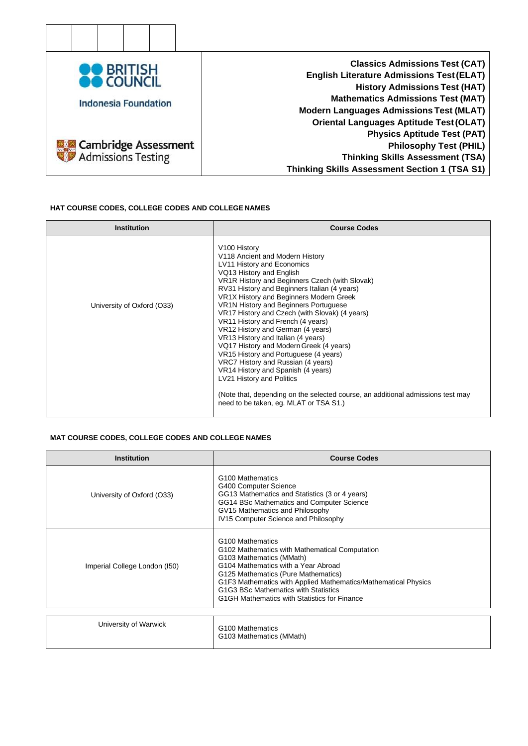

### **HAT COURSE CODES, COLLEGE CODES AND COLLEGE NAMES**

| <b>Institution</b>         | <b>Course Codes</b>                                                                                                                                                                                                                                                                                                                                                                                                                                                                                                                                                                                                                                                                                                                                                                                |
|----------------------------|----------------------------------------------------------------------------------------------------------------------------------------------------------------------------------------------------------------------------------------------------------------------------------------------------------------------------------------------------------------------------------------------------------------------------------------------------------------------------------------------------------------------------------------------------------------------------------------------------------------------------------------------------------------------------------------------------------------------------------------------------------------------------------------------------|
| University of Oxford (O33) | V100 History<br>V118 Ancient and Modern History<br><b>LV11 History and Economics</b><br>VQ13 History and English<br>VR1R History and Beginners Czech (with Slovak)<br>RV31 History and Beginners Italian (4 years)<br>VR1X History and Beginners Modern Greek<br>VR1N History and Beginners Portuguese<br>VR17 History and Czech (with Slovak) (4 years)<br>VR11 History and French (4 years)<br>VR12 History and German (4 years)<br>VR13 History and Italian (4 years)<br>VQ17 History and Modern Greek (4 years)<br>VR15 History and Portuguese (4 years)<br>VRC7 History and Russian (4 years)<br>VR14 History and Spanish (4 years)<br>LV21 History and Politics<br>(Note that, depending on the selected course, an additional admissions test may<br>need to be taken, eq. MLAT or TSA S1.) |

#### **MAT COURSE CODES, COLLEGE CODES AND COLLEGE NAMES**

| <b>Institution</b>            | <b>Course Codes</b>                                                                                                                                                                                                                                                                                                                                |
|-------------------------------|----------------------------------------------------------------------------------------------------------------------------------------------------------------------------------------------------------------------------------------------------------------------------------------------------------------------------------------------------|
| University of Oxford (O33)    | G <sub>100</sub> Mathematics<br>G400 Computer Science<br>GG13 Mathematics and Statistics (3 or 4 years)<br>GG14 BSc Mathematics and Computer Science<br>GV15 Mathematics and Philosophy<br>IV15 Computer Science and Philosophy                                                                                                                    |
| Imperial College London (150) | G <sub>100</sub> Mathematics<br>G102 Mathematics with Mathematical Computation<br>G103 Mathematics (MMath)<br>G104 Mathematics with a Year Abroad<br>G125 Mathematics (Pure Mathematics)<br>G1F3 Mathematics with Applied Mathematics/Mathematical Physics<br>G1G3 BSc Mathematics with Statistics<br>G1GH Mathematics with Statistics for Finance |
| University of Warwick         | G <sub>100</sub> Mathematics<br>G103 Mathematics (MMath)                                                                                                                                                                                                                                                                                           |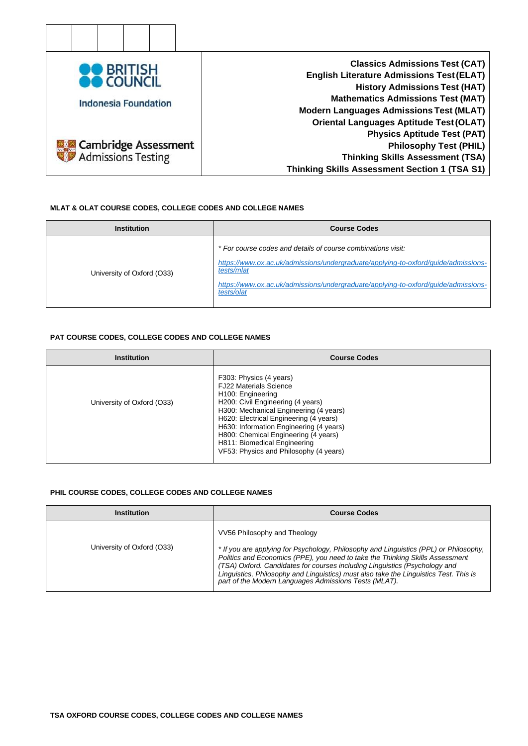

#### **MLAT & OLAT COURSE CODES, COLLEGE CODES AND COLLEGE NAMES**

| <b>Institution</b>         | <b>Course Codes</b>                                                                                                                                                                                                                                                  |
|----------------------------|----------------------------------------------------------------------------------------------------------------------------------------------------------------------------------------------------------------------------------------------------------------------|
| University of Oxford (O33) | * For course codes and details of course combinations visit:<br>https://www.ox.ac.uk/admissions/undergraduate/applying-to-oxford/guide/admissions-<br>tests/mlat<br>https://www.ox.ac.uk/admissions/undergraduate/applying-to-oxford/guide/admissions-<br>tests/olat |

#### **PAT COURSE CODES, COLLEGE CODES AND COLLEGE NAMES**

| <b>Institution</b>         | <b>Course Codes</b>                                                                                                                                                                                                                                                                                                                                                              |
|----------------------------|----------------------------------------------------------------------------------------------------------------------------------------------------------------------------------------------------------------------------------------------------------------------------------------------------------------------------------------------------------------------------------|
| University of Oxford (O33) | F303: Physics (4 years)<br><b>FJ22 Materials Science</b><br>H <sub>100</sub> : Engineering<br>H200: Civil Engineering (4 years)<br>H300: Mechanical Engineering (4 years)<br>H620: Electrical Engineering (4 years)<br>H630: Information Engineering (4 years)<br>H800: Chemical Engineering (4 years)<br>H811: Biomedical Engineering<br>VF53: Physics and Philosophy (4 years) |

#### **PHIL COURSE CODES, COLLEGE CODES AND COLLEGE NAMES**

| Institution                | <b>Course Codes</b>                                                                                                                                                                                                                                                                                                                                                                                                                    |
|----------------------------|----------------------------------------------------------------------------------------------------------------------------------------------------------------------------------------------------------------------------------------------------------------------------------------------------------------------------------------------------------------------------------------------------------------------------------------|
| University of Oxford (O33) | VV56 Philosophy and Theology<br>* If you are applying for Psychology, Philosophy and Linguistics (PPL) or Philosophy,<br>Politics and Economics (PPE), you need to take the Thinking Skills Assessment<br>(TSA) Oxford. Candidates for courses including Linguistics (Psychology and<br>Linguistics, Philosophy and Linguistics) must also take the Linguistics Test. This is<br>part of the Modern Languages Admissions Tests (MLAT). |